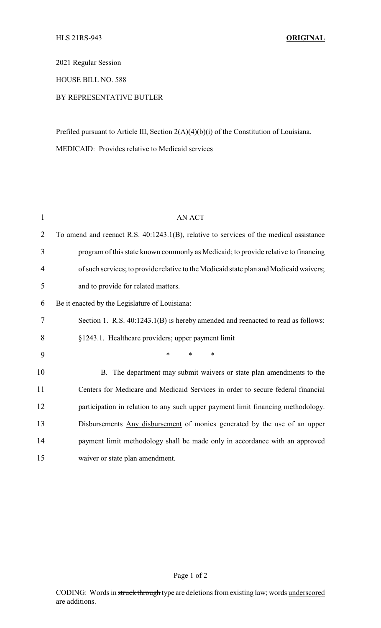## 2021 Regular Session

## HOUSE BILL NO. 588

## BY REPRESENTATIVE BUTLER

Prefiled pursuant to Article III, Section 2(A)(4)(b)(i) of the Constitution of Louisiana.

MEDICAID: Provides relative to Medicaid services

| 1  | <b>AN ACT</b>                                                                          |
|----|----------------------------------------------------------------------------------------|
| 2  | To amend and reenact R.S. 40:1243.1(B), relative to services of the medical assistance |
| 3  | program of this state known commonly as Medicaid; to provide relative to financing     |
| 4  | of such services; to provide relative to the Medicaid state plan and Medicaid waivers; |
| 5  | and to provide for related matters.                                                    |
| 6  | Be it enacted by the Legislature of Louisiana:                                         |
| 7  | Section 1. R.S. 40:1243.1(B) is hereby amended and reenacted to read as follows:       |
| 8  | §1243.1. Healthcare providers; upper payment limit                                     |
| 9  | *<br>$\ast$<br>$\ast$                                                                  |
| 10 | B. The department may submit waivers or state plan amendments to the                   |
| 11 | Centers for Medicare and Medicaid Services in order to secure federal financial        |
| 12 | participation in relation to any such upper payment limit financing methodology.       |
| 13 | <b>Disbursements</b> Any disbursement of monies generated by the use of an upper       |
| 14 | payment limit methodology shall be made only in accordance with an approved            |
| 15 | waiver or state plan amendment.                                                        |